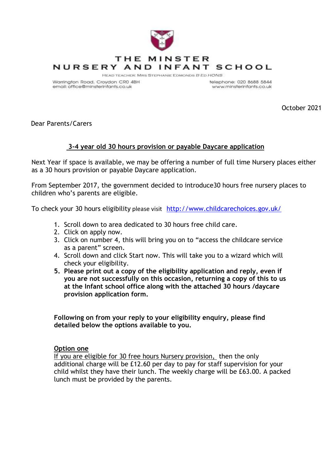

Warrington Road, Croydon CR0 4BH email: office@minsterinfants.co.uk

telephone: 020 8688 5844 www.minsterinfants.co.uk

October 2021

Dear Parents/Carers

## **3-4 year old 30 hours provision or payable Daycare application**

Next Year if space is available, we may be offering a number of full time Nursery places either as a 30 hours provision or payable Daycare application.

From September 2017, the government decided to introduce30 hours free nursery places to children who's parents are eligible.

To check your 30 hours eligibility please visit <http://www.childcarechoices.gov.uk/>

- 1. Scroll down to area dedicated to 30 hours free child care.
- 2. Click on apply now.
- 3. Click on number 4, this will bring you on to "access the childcare service as a parent" screen.
- 4. Scroll down and click Start now. This will take you to a wizard which will check your eligibility.
- **5. Please print out a copy of the eligibility application and reply, even if you are not successfully on this occasion, returning a copy of this to us at the Infant school office along with the attached 30 hours /daycare provision application form.**

**Following on from your reply to your eligibility enquiry, please find detailed below the options available to you.**

## **Option one**

If you are eligible for 30 free hours Nursery provision, then the only additional charge will be £12.60 per day to pay for staff supervision for your child whilst they have their lunch. The weekly charge will be £63.00. A packed lunch must be provided by the parents.